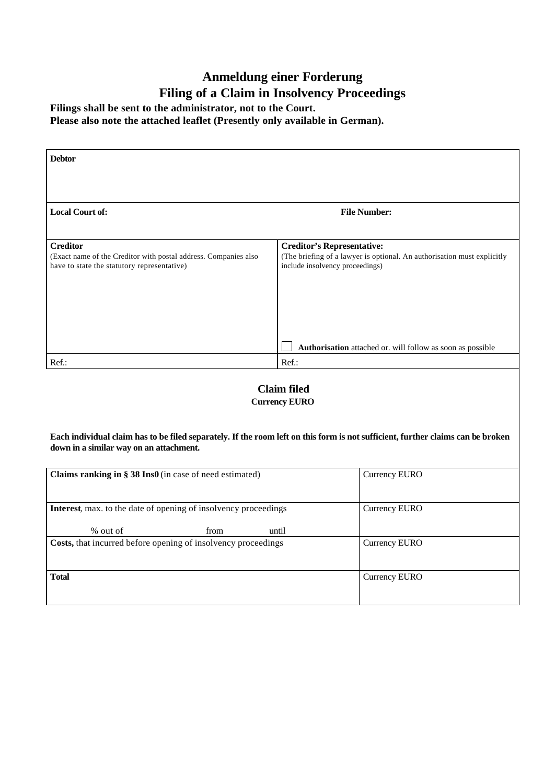## **Anmeldung einer Forderung Filing of a Claim in Insolvency Proceedings**

**Filings shall be sent to the administrator, not to the Court.**

**Please also note the attached leaflet (Presently only available in German).**

| <b>Debtor</b>                                                                                                                     |                                                                                                                                                                                                               |
|-----------------------------------------------------------------------------------------------------------------------------------|---------------------------------------------------------------------------------------------------------------------------------------------------------------------------------------------------------------|
| <b>Local Court of:</b>                                                                                                            | <b>File Number:</b>                                                                                                                                                                                           |
| <b>Creditor</b><br>(Exact name of the Creditor with postal address. Companies also<br>have to state the statutory representative) | <b>Creditor's Representative:</b><br>(The briefing of a lawyer is optional. An authorisation must explicitly<br>include insolvency proceedings)<br>Authorisation attached or. will follow as soon as possible |
| Ref.:                                                                                                                             | Ref.:                                                                                                                                                                                                         |

## **Claim filed Currency EURO**

**Each individual claim has to be filed separately. If the room left on this form is not sufficient, further claims can be broken down in a similar way on an attachment.**

| Claims ranking in $\S 38$ Ins0 (in case of need estimated)                                          | Currency EURO        |
|-----------------------------------------------------------------------------------------------------|----------------------|
| <b>Interest,</b> max. to the date of opening of insolvency proceedings<br>% out of<br>until<br>from | <b>Currency EURO</b> |
| <b>Costs,</b> that incurred before opening of insolvency proceedings                                | Currency EURO        |
| <b>Total</b>                                                                                        | Currency EURO        |